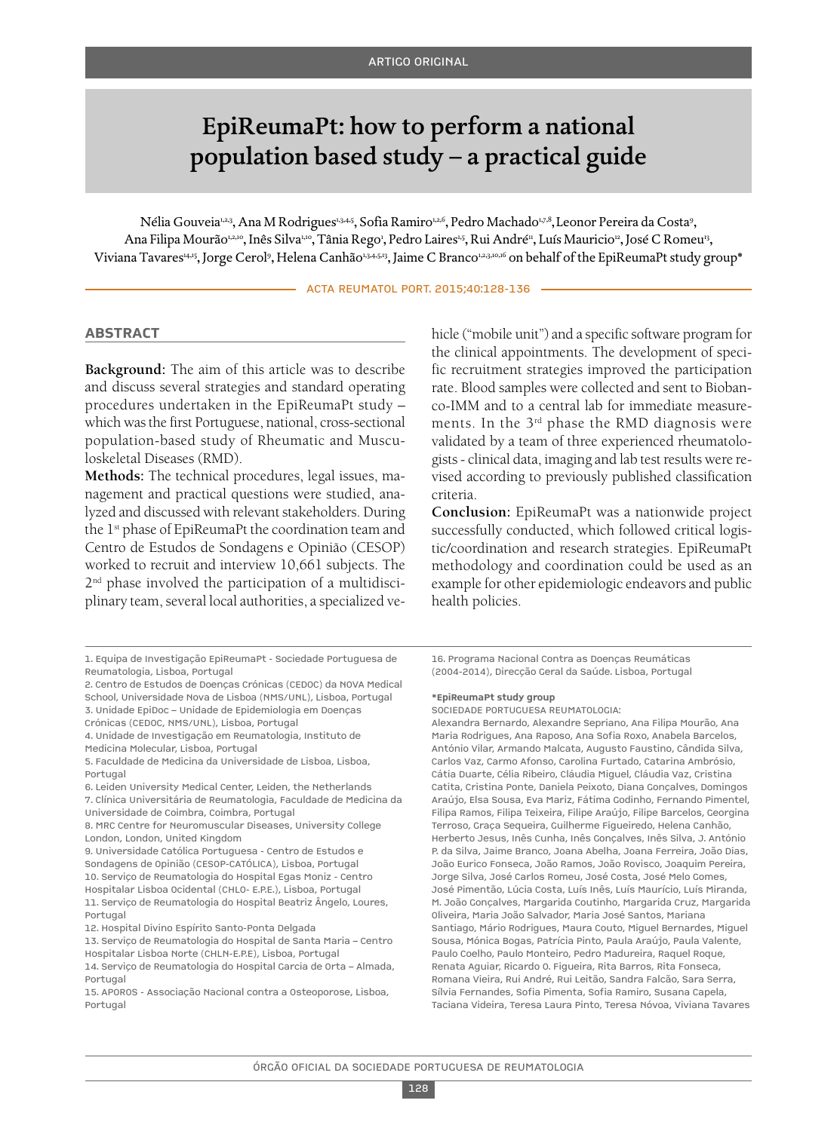# EpiReumaPt: how to perform a national population based study – a practical guide

Nélia Gouveia<sup>1,2,3</sup>, Ana M Rodrigues<sup>1,3,4,5</sup>, Sofia Ramiro<sup>1,2,6</sup>, Pedro Machado<sup>1,7,8</sup>, Leonor Pereira da Costaº, Ana Filipa Mourão1410, Inês Silva<sup>110</sup>, Tânia Rego', Pedro Laires<sup>15</sup>, Rui André", Luís Mauricio<sup>12</sup>, José C Romeu<sup>13</sup>, Viviana Tavares1415, Jorge Cerol<sup>9</sup>, Helena Canhão<sup>13,4513</sup>, Jaime C Branco<sup>1,23,10,16</sup> on behalf of the EpiReumaPt study group\*

ACTA REUMATOL PORT. 2015;40:128-136

#### **AbstrAct**

**Background:** The aim of this article was to describe and discuss several strategies and standard operating procedures undertaken in the EpiReumaPt study – which wasthe first Portuguese, national, cross-sectional population-based study of Rheumatic and Musculoskeletal Diseases (RMD).

**Methods:** The technical procedures, legal issues, management and practical questions were studied, analyzed and discussed with relevant stakeholders. During the 1<sup>st</sup> phase of EpiReumaPt the coordination team and Centro de Estudos de Sondagens e Opinião (CESOP) worked to recruit and interview 10,661 subjects. The 2nd phase involved the participation of a multidisciplinary team, several local authorities, a specialized ve-

7. Clínica Universitária de Reumatologia, Faculdade de Medicina da Universidade de Coimbra, Coimbra, Portugal

hicle ("mobile unit") and a specific software program for the clinical appointments. The development of specific recruitment strategies improved the participation rate. Blood samples were collected and sent to Biobanco-IMM and to a central lab for immediate measurements. In the 3rd phase the RMD diagnosis were validated by a team of three experienced rheumatologists- clinical data, imaging and lab test results were revised according to previously published classification criteria.

**Conclusion:** EpiReumaPt was a nationwide project successfully conducted, which followed critical logistic/coordination and research strategies. EpiReumaPt methodology and coordination could be used as an example for other epidemiologic endeavors and public health policies.

16. Programa Nacional Contra as Doenças Reumáticas (2004-2014), Direcção Geral da Saúde. Lisboa, Portugal

#### **\*EpireumaPt study group**

SOCiEDADE PORTUGUESA REUMATOLOGiA:

Alexandra Bernardo, Alexandre Sepriano, Ana Filipa Mourão, Ana Maria Rodrigues, Ana Raposo, Ana Sofia Roxo, Anabela Barcelos, António Vilar, Armando Malcata, Augusto Faustino, Cândida Silva, Carlos Vaz, Carmo Afonso, Carolina Furtado, Catarina Ambrósio, Cátia Duarte, Célia Ribeiro, Cláudia Miguel, Cláudia Vaz, Cristina Catita, Cristina Ponte, Daniela Peixoto, Diana Gonçalves, Domingos Araújo, Elsa Sousa, Eva Mariz, Fátima Godinho, Fernando Pimentel, Filipa Ramos, Filipa Teixeira, Filipe Araújo, Filipe Barcelos, Georgina Terroso, Graça Sequeira, Guilherme Figueiredo, Helena Canhão, Herberto Jesus, inês Cunha, inês Gonçalves, inês Silva, J. António P. da Silva, Jaime Branco, Joana Abelha, Joana Ferreira, João Dias, João Eurico Fonseca, João Ramos, João Rovisco, Joaquim Pereira, Jorge Silva, José Carlos Romeu, José Costa, José Melo Gomes, José Pimentão, Lúcia Costa, Luís inês, Luís Maurício, Luís Miranda, M. João Gonçalves, Margarida Coutinho, Margarida Cruz, Margarida Oliveira, Maria João Salvador, Maria José Santos, Mariana Santiago, Mário Rodrigues, Maura Couto, Miguel Bernardes, Miguel Sousa, Mónica Bogas, Patrícia Pinto, Paula Araújo, Paula Valente, Paulo Coelho, Paulo Monteiro, Pedro Madureira, Raquel Roque, Renata Aguiar, Ricardo O. Figueira, Rita Barros, Rita Fonseca, Romana Vieira, Rui André, Rui Leitão, Sandra Falcão, Sara Serra, Sílvia Fernandes, Sofia Pimenta, Sofia Ramiro, Susana Capela, Taciana Videira, Teresa Laura Pinto, Teresa Nóvoa, Viviana Tavares

<sup>1.</sup> Equipa de investigação EpiReumaPt - Sociedade Portuguesa de Reumatologia, Lisboa, Portugal

<sup>2.</sup> Centro de Estudos de Doenças Crónicas (CEDOC) da NOVA Medical School, Universidade Nova de Lisboa (NMS/UNL), Lisboa, Portugal 3. Unidade EpiDoc – Unidade de Epidemiologia em Doenças

Crónicas (CEDOC, NMS/UNL), Lisboa, Portugal

<sup>4.</sup> Unidade de investigação em Reumatologia, instituto de Medicina Molecular, Lisboa, Portugal

<sup>5.</sup> Faculdade de Medicina da Universidade de Lisboa, Lisboa, Portugal

<sup>6.</sup> Leiden University Medical Center, Leiden, the Netherlands

<sup>8.</sup> MRC Centre for Neuromuscular Diseases, University College London, London, United Kingdom

<sup>9.</sup> Universidade Católica Portuguesa - Centro de Estudos e Sondagens de Opinião (CESOP-CATÓLiCA), Lisboa, Portugal 10. Serviço de Reumatologia do Hospital Egas Moniz - Centro Hospitalar Lisboa Ocidental (CHLO- E.P.E.), Lisboa, Portugal 11. Serviço de Reumatologia do Hospital Beatriz Ângelo, Loures, Portugal

<sup>12.</sup> Hospital Divino Espírito Santo-Ponta Delgada

<sup>13.</sup> Serviço de Reumatologia do Hospital de Santa Maria – Centro Hospitalar Lisboa Norte (CHLN-E.P.E), Lisboa, Portugal 14. Serviço de Reumatologia do Hospital Garcia de Orta – Almada,

Portugal

<sup>15.</sup> APOROS - Associação Nacional contra a Osteoporose, Lisboa, Portugal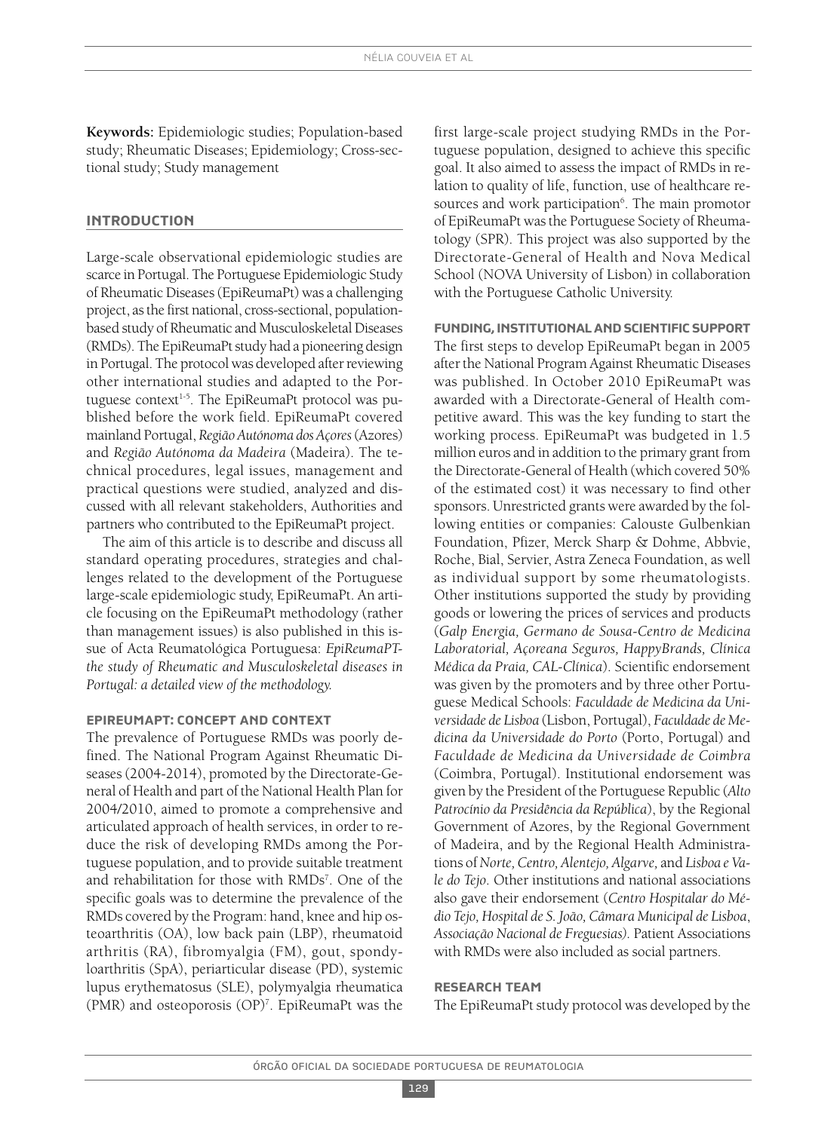**Keywords:** Epidemiologic studies; Population-based study; Rheumatic Diseases; Epidemiology; Cross-sectional study; Study management

#### **introduction**

Large-scale observational epidemiologic studies are scarce in Portugal. The Portuguese Epidemiologic Study of Rheumatic Diseases(EpiReumaPt) was a challenging project, asthe first national, cross-sectional, populationbased study of Rheumatic and Musculoskeletal Diseases (RMDs). The EpiReumaPt study had a pioneering design in Portugal. The protocol was developed after reviewing other international studies and adapted to the Portuguese context 1-5 . The EpiReumaPt protocol was published before the work field. EpiReumaPt covered mainland Portugal, *RegiãoAutónoma dosAçores*(Azores) and *Região Autónoma da Madeira* (Madeira). The technical procedures, legal issues, management and practical questions were studied, analyzed and discussed with all relevant stakeholders, Authorities and partners who contributed to the EpiReumaPt project.

The aim of this article is to describe and discuss all standard operating procedures, strategies and challenges related to the development of the Portuguese large-scale epidemiologic study, EpiReumaPt. An article focusing on the EpiReumaPt methodology (rather than management issues) is also published in this issue of Acta Reumatológica Portuguesa: *EpiReumaPTthe study of Rheumatic and Musculoskeletal diseases in Portugal: a detailed view of the methodology.*

### **EPirEumAPt: concEPt And contExt**

The prevalence of Portuguese RMDs was poorly defined. The National Program Against Rheumatic Diseases (2004-2014), promoted by the Directorate-General of Health and part of the National Health Plan for 2004/2010, aimed to promote a comprehensive and articulated approach of health services, in order to reduce the risk of developing RMDs among the Portuguese population, and to provide suitable treatment and rehabilitation for those with RMDs<sup>7</sup>. One of the specific goals was to determine the prevalence of the RMDs covered by the Program: hand, knee and hip osteoarthritis (OA), low back pain (LBP), rheumatoid arthritis (RA), fibromyalgia (FM), gout, spondyloarthritis (SpA), periarticular disease (PD), systemic lupus erythematosus (SLE), polymyalgia rheumatica (PMR) and osteoporosis (OP)7 . EpiReumaPt was the

first large-scale project studying RMDs in the Portuguese population, designed to achieve this specific goal. It also aimed to assess the impact of RMDs in relation to quality of life, function, use of healthcare resources and work participation<sup>6</sup>. The main promotor of EpiReumaPt wasthe Portuguese Society of Rheumatology (SPR). This project was also supported by the Directorate-General of Health and Nova Medical School (NOVA University of Lisbon) in collaboration with the Portuguese Catholic University.

#### **Funding,institutionAlAndsciEntiFicsuPPort**

The first steps to develop EpiReumaPt began in 2005 after the National Program Against Rheumatic Diseases was published. In October 2010 EpiReumaPt was awarded with a Directorate-General of Health competitive award. This was the key funding to start the working process. EpiReumaPt was budgeted in 1.5 million euros and in addition to the primary grant from the Directorate-General of Health (which covered 50% of the estimated cost) it was necessary to find other sponsors. Unrestricted grants were awarded by the following entities or companies: Calouste Gulbenkian Foundation, Pfizer, Merck Sharp & Dohme, Abbvie, Roche, Bial, Servier, Astra Zeneca Foundation, as well as individual support by some rheumatologists. Other institutions supported the study by providing goods or lowering the prices of services and products (*Galp Energia, Germano de Sousa-Centro de Medicina Laboratorial, Açoreana Seguros, HappyBrands, Clínica Médica da Praia, CAL-Clínica*). Scientific endorsement was given by the promoters and by three other Portuguese Medical Schools: *Faculdade de Medicina da Universidade de Lisboa* (Lisbon, Portugal), *Faculdade de Medicina da Universidade do Porto* (Porto, Portugal) and *Faculdade de Medicina da Universidade de Coimbra* (Coimbra, Portugal). Institutional endorsement was given by the President of the Portuguese Republic (*Alto Patrocínio da Presidência da República*), by the Regional Government of Azores, by the Regional Government of Madeira, and by the Regional Health Administrations of*Norte, Centro, Alentejo, Algarve,* and *Lisboa e Vale do Tejo*. Other institutions and national associations also gave their endorsement (*Centro Hospitalar do Médio Tejo,Hospital de S. João, Câmara Municipal de Lisboa*, *Associação Nacional de Freguesias).* Patient Associations with RMDs were also included as social partners.

#### **rEsEArch tEAm**

The EpiReumaPt study protocol was developed by the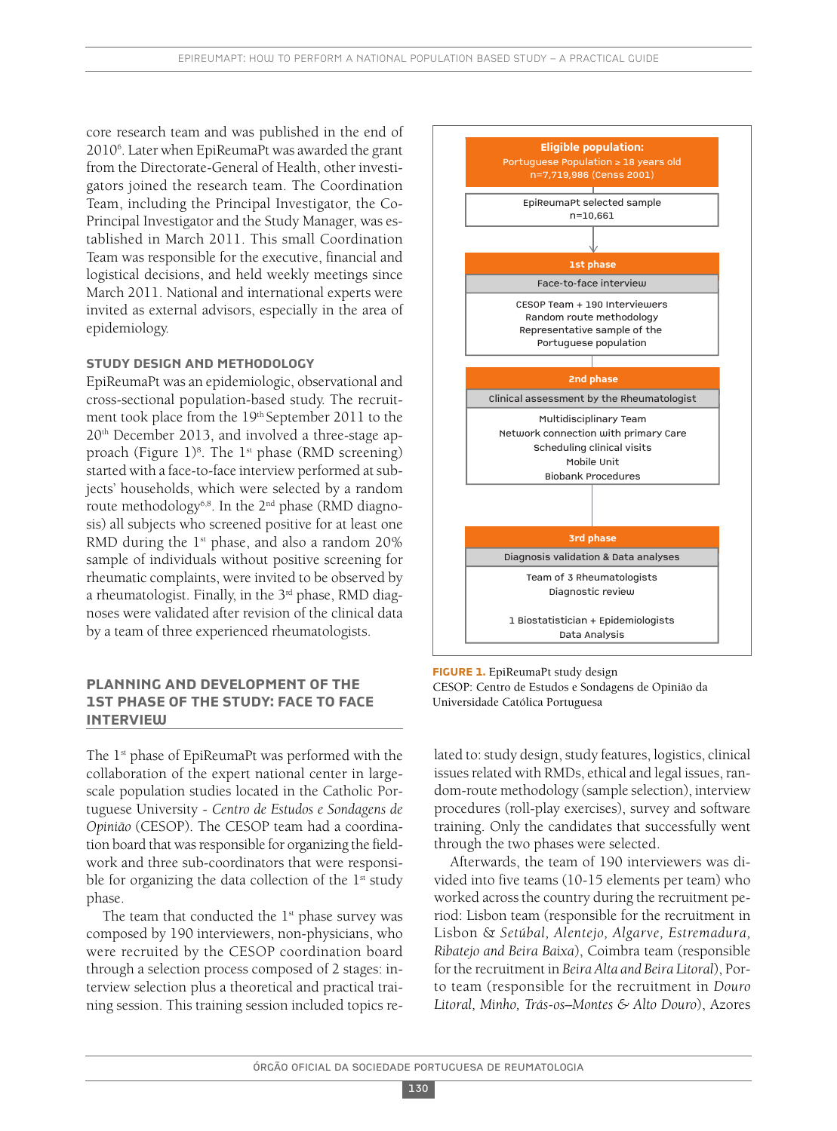core research team and was published in the end of 20106 . Later when EpiReumaPt was awarded the grant from the Directorate-General of Health, other investigators joined the research team. The Coordination Team, including the Principal Investigator, the Co-Principal Investigator and the Study Manager, was established in March 2011. This small Coordination Team was responsible for the executive, financial and logistical decisions, and held weekly meetings since March 2011. National and international experts were invited as external advisors, especially in the area of epidemiology.

# **study dEsign And mEthodology**

EpiReumaPt was an epidemiologic, observational and cross-sectional population-based study. The recruitment took place from the 19<sup>th</sup> September 2011 to the 20th December 2013, and involved a three-stage approach (Figure 1)<sup>8</sup>. The 1<sup>st</sup> phase (RMD screening) started with a face-to-face interview performed at subjects' households, which were selected by a random route methodology<sup>6,8</sup>. In the 2<sup>nd</sup> phase (RMD diagnosis) all subjects who screened positive for at least one RMD during the  $1<sup>st</sup>$  phase, and also a random 20% sample of individuals without positive screening for rheumatic complaints, were invited to be observed by a rheumatologist. Finally, in the 3<sup>rd</sup> phase, RMD diagnoses were validated after revision of the clinical data by a team of three experienced rheumatologists.

# **PlAnning And dEvEloPmEnt oF thE 1st PhAsE oF thE study: FAcE to FAcE intErviEw**

The 1<sup>st</sup> phase of EpiReumaPt was performed with the collaboration of the expert national center in largescale population studies located in the Catholic Portuguese University - *Centro de Estudos e Sondagens de Opinião* (CESOP). The CESOP team had a coordination board that was responsible for organizing the fieldwork and three sub-coordinators that were responsible for organizing the data collection of the  $1<sup>st</sup>$  study phase.

The team that conducted the  $1<sup>st</sup>$  phase survey was composed by 190 interviewers, non-physicians, who were recruited by the CESOP coordination board through a selection process composed of 2 stages: interview selection plus a theoretical and practical training session. This training session included topics re-



**FigurE 1.** EpiReumaPt study design CESOP: Centro de Estudos e Sondagens de Opinião da Universidade Católica Portuguesa

lated to: study design, study features, logistics, clinical issues related with RMDs, ethical and legal issues, random-route methodology (sample selection), interview procedures (roll-play exercises), survey and software training. Only the candidates that successfully went through the two phases were selected.

Afterwards, the team of 190 interviewers was divided into five teams (10-15 elements per team) who worked across the country during the recruitment period: Lisbon team (responsible for the recruitment in Lisbon & *Setúbal, Alentejo, Algarve, Estremadura, Ribatejo and Beira Baixa*), Coimbra team (responsible for the recruitment in *Beira Alta and Beira Litoral*), Porto team (responsible for the recruitment in *Douro Litoral, Minho, Trás-os–Montes & Alto Douro*), Azores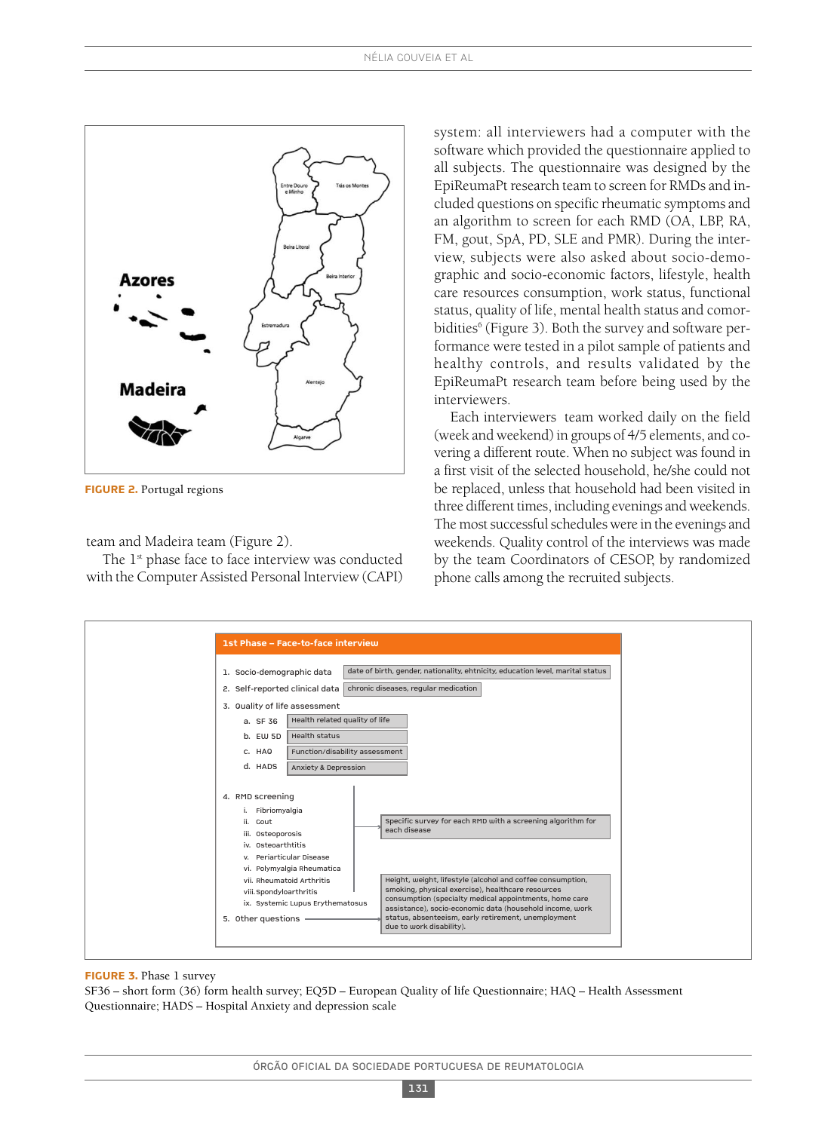

**FigurE 2.** Portugal regions

team and Madeira team (Figure 2).

The 1<sup>st</sup> phase face to face interview was conducted with the Computer Assisted Personal Interview (CAPI)

system: all interviewers had a computer with the software which provided the questionnaire applied to all subjects. The questionnaire was designed by the EpiReumaPt research team to screen for RMDs and included questions on specific rheumatic symptoms and an algorithm to screen for each RMD (OA, LBP, RA, FM, gout, SpA, PD, SLE and PMR). During the interview, subjects were also asked about socio-demographic and socio-economic factors, lifestyle, health care resources consumption, work status, functional status, quality of life, mental health status and comorbidities<sup>6</sup> (Figure 3). Both the survey and software performance were tested in a pilot sample of patients and healthy controls, and results validated by the EpiReumaPt research team before being used by the interviewers.

Each interviewers team worked daily on the field (week and weekend) in groups of 4/5 elements, and covering a different route. When no subject was found in a first visit of the selected household, he/she could not be replaced, unless that household had been visited in three different times, including evenings and weekends. The most successful schedules were in the evenings and weekends. Quality control of the interviews was made by the team Coordinators of CESOP, by randomized phone calls among the recruited subjects.



#### **FigurE 3.** Phase 1 survey

SF36 – short form (36) form health survey; EQ5D – European Quality of life Questionnaire; HAQ – Health Assessment Questionnaire; HADS – Hospital Anxiety and depression scale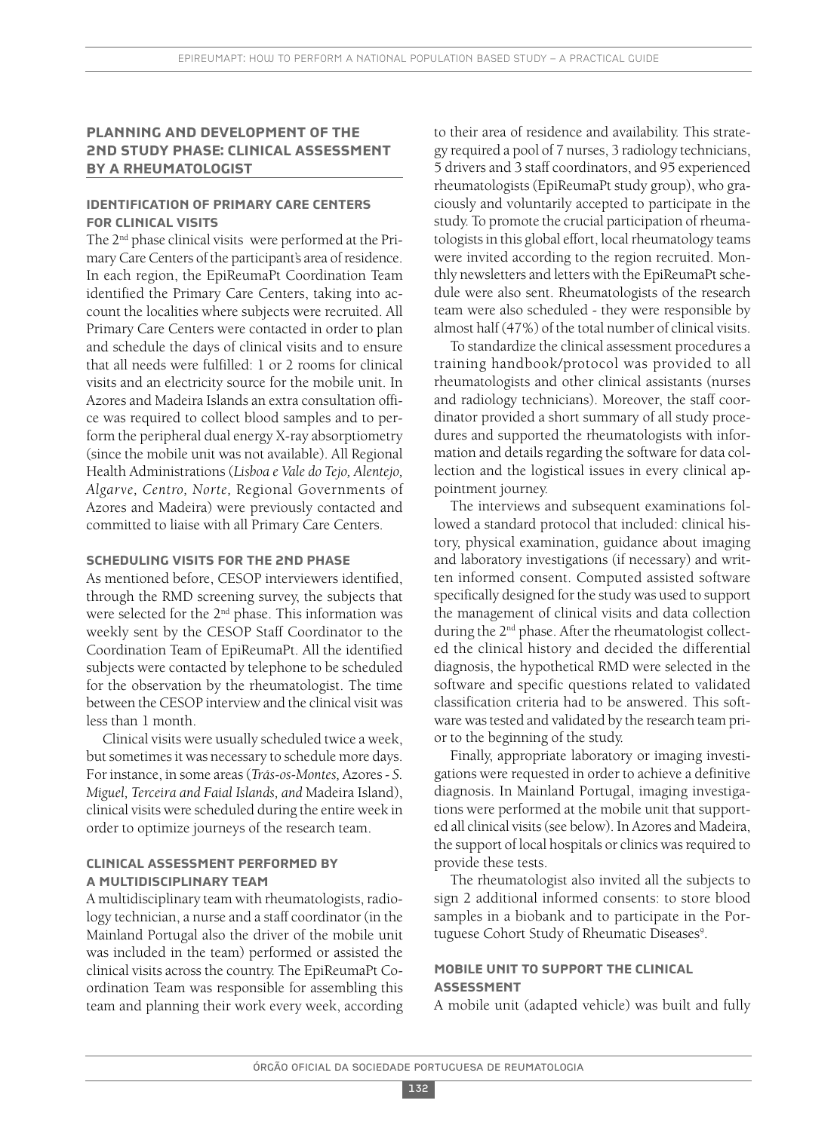# **PlAnning And dEvEloPmEnt oF thE 2nd study PhAsE: clinicAl AssEssmEnt by A rhEumAtologist**

# **idEntiFicAtion oF PrimAry cArE cEntErs For clinicAl visits**

The 2nd phase clinical visits were performed at the Primary Care Centers of the participant's area of residence. In each region, the EpiReumaPt Coordination Team identified the Primary Care Centers, taking into account the localities where subjects were recruited. All Primary Care Centers were contacted in order to plan and schedule the days of clinical visits and to ensure that all needs were fulfilled: 1 or 2 rooms for clinical visits and an electricity source for the mobile unit. In Azores and Madeira Islands an extra consultation office was required to collect blood samples and to perform the peripheral dual energy X-ray absorptiometry (since the mobile unit was not available). All Regional Health Administrations (*Lisboa e Vale do Tejo, Alentejo, Algarve, Centro, Norte,* Regional Governments of Azores and Madeira) were previously contacted and committed to liaise with all Primary Care Centers.

# **schEduling visits For thE 2nd PhAsE**

As mentioned before, CESOP interviewers identified, through the RMD screening survey, the subjects that were selected for the 2<sup>nd</sup> phase. This information was weekly sent by the CESOP Staff Coordinator to the Coordination Team of EpiReumaPt. All the identified subjects were contacted by telephone to be scheduled for the observation by the rheumatologist. The time between the CESOP interview and the clinical visit was less than 1 month.

Clinical visits were usually scheduled twice a week, but sometimes it was necessary to schedule more days. For instance, in some areas(*Trás-os-Montes,* Azores*- S. Miguel, Terceira and Faial Islands, and* Madeira Island), clinical visits were scheduled during the entire week in order to optimize journeys of the research team.

# **clinicAl AssEssmEnt PErFormEd by A multidisciPlinAry tEAm**

A multidisciplinary team with rheumatologists, radiology technician, a nurse and a staff coordinator (in the Mainland Portugal also the driver of the mobile unit was included in the team) performed or assisted the clinical visits across the country. The EpiReumaPt Coordination Team was responsible for assembling this team and planning their work every week, according

to their area of residence and availability. This strategy required a pool of 7 nurses, 3 radiology technicians, 5 drivers and 3 staff coordinators, and 95 experienced rheumatologists (EpiReumaPt study group), who graciously and voluntarily accepted to participate in the study. To promote the crucial participation of rheumatologists in this global effort, local rheumatology teams were invited according to the region recruited. Monthly newsletters and letters with the EpiReumaPt schedule were also sent. Rheumatologists of the research team were also scheduled - they were responsible by almost half (47%) of the total number of clinical visits.

To standardize the clinical assessment procedures a training handbook/protocol was provided to all rheumatologists and other clinical assistants (nurses and radiology technicians). Moreover, the staff coordinator provided a short summary of all study procedures and supported the rheumatologists with information and details regarding the software for data collection and the logistical issues in every clinical appointment journey.

The interviews and subsequent examinations followed a standard protocol that included: clinical history, physical examination, guidance about imaging and laboratory investigations (if necessary) and written informed consent. Computed assisted software specifically designed for the study was used to support the management of clinical visits and data collection during the 2<sup>nd</sup> phase. After the rheumatologist collected the clinical history and decided the differential diagnosis, the hypothetical RMD were selected in the software and specific questions related to validated classification criteria had to be answered. This software wastested and validated by the research team prior to the beginning of the study.

Finally, appropriate laboratory or imaging investigations were requested in order to achieve a definitive diagnosis. In Mainland Portugal, imaging investigations were performed at the mobile unit that supported all clinical visits(see below). In Azores and Madeira, the support of local hospitals or clinics was required to provide these tests.

The rheumatologist also invited all the subjects to sign 2 additional informed consents: to store blood samples in a biobank and to participate in the Portuguese Cohort Study of Rheumatic Diseases<sup>9</sup>.

# **mobilE unit to suPPort thE clinicAl AssEssmEnt**

A mobile unit (adapted vehicle) was built and fully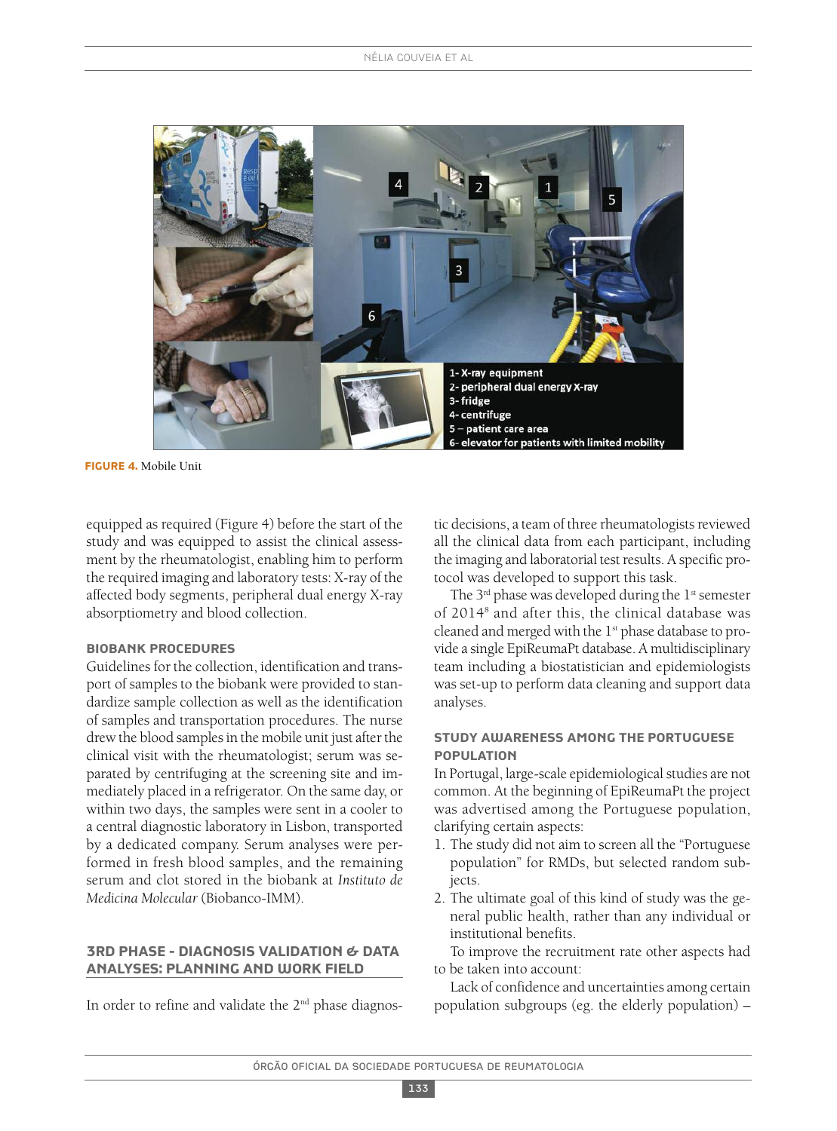

**FigurE 4.** Mobile Unit

equipped as required (Figure 4) before the start of the study and was equipped to assist the clinical assessment by the rheumatologist, enabling him to perform the required imaging and laboratory tests: X-ray of the affected body segments, peripheral dual energy X-ray absorptiometry and blood collection.

#### **biobAnk ProcEdurEs**

Guidelines for the collection, identification and transport of samples to the biobank were provided to standardize sample collection as well as the identification of samples and transportation procedures. The nurse drew the blood samples in the mobile unit just after the clinical visit with the rheumatologist; serum was separated by centrifuging at the screening site and immediately placed in a refrigerator. On the same day, or within two days, the samples were sent in a cooler to a central diagnostic laboratory in Lisbon, transported by a dedicated company. Serum analyses were performed in fresh blood samples, and the remaining serum and clot stored in the biobank at *Instituto de Medicina Molecular* (Biobanco-IMM).

# **3rd PhAsE - diAgnosis vAlidAtion & dAtA AnAlysEs: PlAnning And work FiEld**

In order to refine and validate the 2<sup>nd</sup> phase diagnos-

tic decisions, a team of three rheumatologists reviewed all the clinical data from each participant, including the imaging and laboratorial test results. A specific protocol was developed to support this task.

The  $3^{rd}$  phase was developed during the  $1^{st}$  semester of 20148 and after this, the clinical database was cleaned and merged with the 1<sup>st</sup> phase database to provide a single EpiReumaPt database. A multidisciplinary team including a biostatistician and epidemiologists was set-up to perform data cleaning and support data analyses.

# **study AwArEnEss Among thE PortuguEsE PoPulAtion**

In Portugal, large-scale epidemiological studies are not common. At the beginning of EpiReumaPt the project was advertised among the Portuguese population, clarifying certain aspects:

- 1. The study did not aim to screen all the "Portuguese population" for RMDs, but selected random subjects.
- 2. The ultimate goal of this kind of study was the general public health, rather than any individual or institutional benefits.

To improve the recruitment rate other aspects had to be taken into account:

Lack of confidence and uncertainties among certain population subgroups (eg. the elderly population) –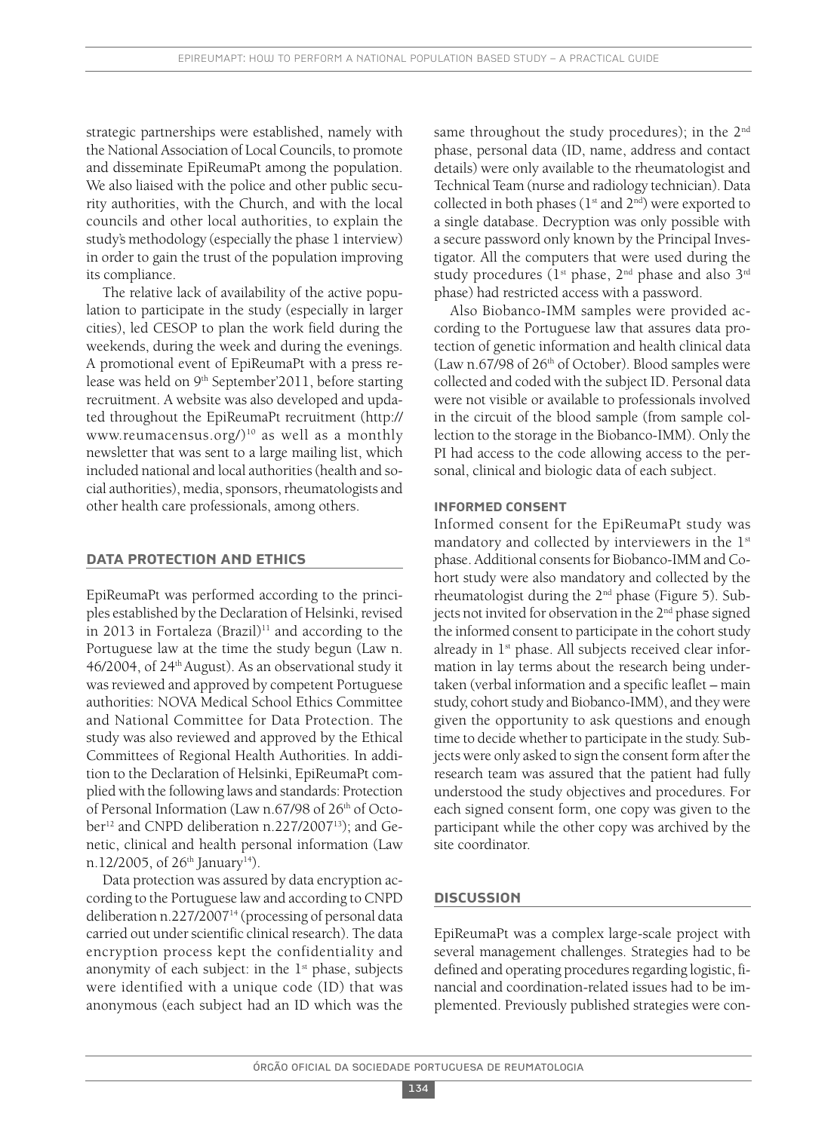strategic partnerships were established, namely with the National Association of Local Councils, to promote and disseminate EpiReumaPt among the population. We also liaised with the police and other public security authorities, with the Church, and with the local councils and other local authorities, to explain the study's methodology (especially the phase 1 interview) in order to gain the trust of the population improving its compliance.

The relative lack of availability of the active population to participate in the study (especially in larger cities), led CESOP to plan the work field during the weekends, during the week and during the evenings. A promotional event of EpiReumaPt with a press release was held on 9<sup>th</sup> September'2011, before starting recruitment. A website was also developed and updated throughout the EpiReumaPt recruitment (http:// www.reumacensus.org/ $)^{10}$  as well as a monthly newsletter that was sent to a large mailing list, which included national and local authorities(health and social authorities), media, sponsors, rheumatologists and other health care professionals, among others.

## **dAtA ProtEction And Ethics**

EpiReumaPt was performed according to the principles established by the Declaration of Helsinki, revised in 2013 in Fortaleza  $(Brazil)^{11}$  and according to the Portuguese law at the time the study begun (Law n. 46/2004, of 24<sup>th</sup> August). As an observational study it was reviewed and approved by competent Portuguese authorities: NOVA Medical School Ethics Committee and National Committee for Data Protection. The study was also reviewed and approved by the Ethical Committees of Regional Health Authorities. In addition to the Declaration of Helsinki, EpiReumaPt complied with the following laws and standards: Protection of Personal Information (Law n.67/98 of 26<sup>th</sup> of October<sup>12</sup> and CNPD deliberation n.227/2007<sup>13</sup>); and Genetic, clinical and health personal information (Law n.12/2005, of 26<sup>th</sup> January<sup>14</sup>).

Data protection was assured by data encryption according to the Portuguese law and according to CNPD deliberation n.227/2007<sup>14</sup> (processing of personal data carried out under scientific clinical research). The data encryption process kept the confidentiality and anonymity of each subject: in the  $1<sup>st</sup>$  phase, subjects were identified with a unique code (ID) that was anonymous (each subject had an ID which was the

same throughout the study procedures); in the 2<sup>nd</sup> phase, personal data (ID, name, address and contact details) were only available to the rheumatologist and Technical Team (nurse and radiology technician). Data collected in both phases (1st and 2nd) were exported to a single database. Decryption was only possible with a secure password only known by the Principal Investigator. All the computers that were used during the study procedures ( $1<sup>st</sup>$  phase,  $2<sup>nd</sup>$  phase and also  $3<sup>rd</sup>$ phase) had restricted access with a password.

Also Biobanco-IMM samples were provided according to the Portuguese law that assures data protection of genetic information and health clinical data (Law n.67/98 of 26th of October). Blood samples were collected and coded with the subject ID. Personal data were not visible or available to professionals involved in the circuit of the blood sample (from sample collection to the storage in the Biobanco-IMM). Only the PI had access to the code allowing access to the personal, clinical and biologic data of each subject.

#### **inFormEd consEnt**

Informed consent for the EpiReumaPt study was mandatory and collected by interviewers in the 1<sup>st</sup> phase. Additional consents for Biobanco-IMM and Cohort study were also mandatory and collected by the rheumatologist during the  $2<sup>nd</sup>$  phase (Figure 5). Subjects not invited for observation in the 2<sup>nd</sup> phase signed the informed consent to participate in the cohort study already in 1<sup>st</sup> phase. All subjects received clear information in lay terms about the research being undertaken (verbal information and a specific leaflet – main study, cohort study and Biobanco-IMM), and they were given the opportunity to ask questions and enough time to decide whether to participate in the study. Subjects were only asked to sign the consent form after the research team was assured that the patient had fully understood the study objectives and procedures. For each signed consent form, one copy was given to the participant while the other copy was archived by the site coordinator.

# **discussion**

EpiReumaPt was a complex large-scale project with several management challenges. Strategies had to be defined and operating procedures regarding logistic, financial and coordination-related issues had to be implemented. Previously published strategies were con-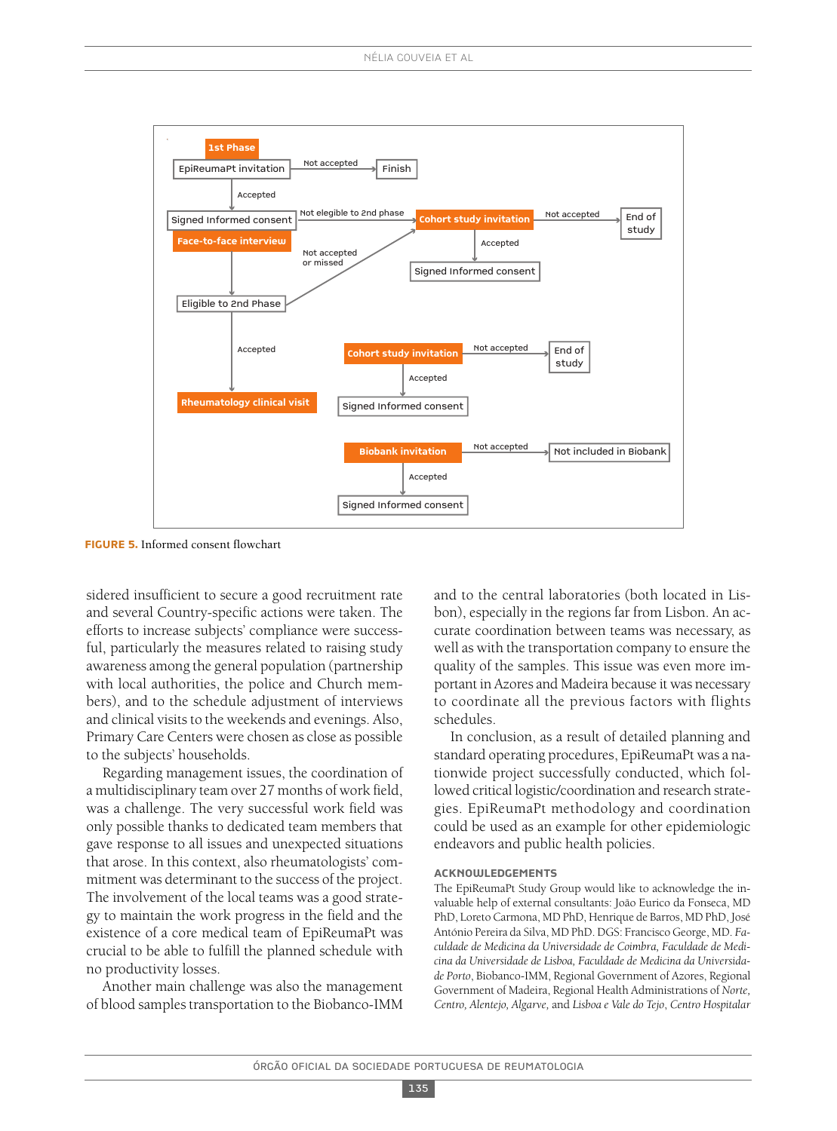

**FigurE 5.** Informed consent flowchart

sidered insufficient to secure a good recruitment rate and several Country-specific actions were taken. The efforts to increase subjects' compliance were successful, particularly the measures related to raising study awareness among the general population (partnership with local authorities, the police and Church members), and to the schedule adjustment of interviews and clinical visits to the weekends and evenings. Also, Primary Care Centers were chosen as close as possible to the subjects' households.

Regarding management issues, the coordination of a multidisciplinary team over 27 months of work field, was a challenge. The very successful work field was only possible thanks to dedicated team members that gave response to all issues and unexpected situations that arose. In this context, also rheumatologists' commitment was determinant to the success of the project. The involvement of the local teams was a good strategy to maintain the work progress in the field and the existence of a core medical team of EpiReumaPt was crucial to be able to fulfill the planned schedule with no productivity losses.

Another main challenge was also the management of blood samples transportation to the Biobanco-IMM and to the central laboratories (both located in Lisbon), especially in the regions far from Lisbon. An accurate coordination between teams was necessary, as well as with the transportation company to ensure the quality of the samples. This issue was even more important in Azores and Madeira because it was necessary to coordinate all the previous factors with flights schedules.

In conclusion, as a result of detailed planning and standard operating procedures, EpiReumaPt was a nationwide project successfully conducted, which followed critical logistic/coordination and research strategies. EpiReumaPt methodology and coordination could be used as an example for other epidemiologic endeavors and public health policies.

#### **AcknowlEdgEmEnts**

The EpiReumaPt Study Group would like to acknowledge the invaluable help of external consultants: João Eurico da Fonseca, MD PhD, Loreto Carmona, MD PhD, Henrique de Barros, MD PhD, José António Pereira da Silva, MDPhD.DGS: FranciscoGeorge, MD. *Faculdade de Medicina da Universidade de Coimbra, Faculdade de Medicina da Universidade de Lisboa, Faculdade de Medicina da Universidade Porto*, Biobanco-IMM, Regional Government of Azores, Regional Government of Madeira, Regional Health Administrations of *Norte, Centro, Alentejo, Algarve,* and *Lisboa e Vale do Tejo*, *Centro Hospitalar*